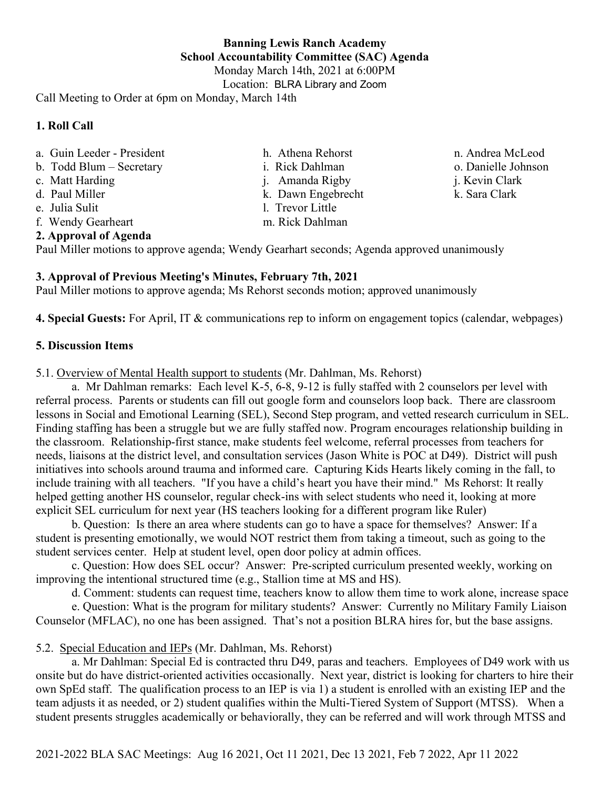**Banning Lewis Ranch Academy School Accountability Committee (SAC) Agenda** Monday March 14th, 2021 at 6:00PM

## **1. Roll Call**

- a. Guin Leeder President
- b. Todd Blum Secretary
- c. Matt Harding
- d. Paul Miller
- e. Julia Sulit
- f. Wendy Gearheart

## **2. Approval of Agenda**

Paul Miller motions to approve agenda; Wendy Gearhart seconds; Agenda approved unanimously

# **3. Approval of Previous Meeting's Minutes, February 7th, 2021**

Paul Miller motions to approve agenda; Ms Rehorst seconds motion; approved unanimously

**4. Special Guests:** For April, IT & communications rep to inform on engagement topics (calendar, webpages)

m. Rick Dahlman

## **5. Discussion Items**

5.1. Overview of Mental Health support to students (Mr. Dahlman, Ms. Rehorst)

a. Mr Dahlman remarks: Each level K-5, 6-8, 9-12 is fully staffed with 2 counselors per level with referral process. Parents or students can fill out google form and counselors loop back. There are classroom lessons in Social and Emotional Learning (SEL), Second Step program, and vetted research curriculum in SEL. Finding staffing has been a struggle but we are fully staffed now. Program encourages relationship building in the classroom. Relationship-first stance, make students feel welcome, referral processes from teachers for needs, liaisons at the district level, and consultation services (Jason White is POC at D49). District will push initiatives into schools around trauma and informed care. Capturing Kids Hearts likely coming in the fall, to include training with all teachers. "If you have a child's heart you have their mind." Ms Rehorst: It really helped getting another HS counselor, regular check-ins with select students who need it, looking at more explicit SEL curriculum for next year (HS teachers looking for a different program like Ruler)

b. Question: Is there an area where students can go to have a space for themselves? Answer: If a student is presenting emotionally, we would NOT restrict them from taking a timeout, such as going to the student services center. Help at student level, open door policy at admin offices.

c. Question: How does SEL occur? Answer: Pre-scripted curriculum presented weekly, working on improving the intentional structured time (e.g., Stallion time at MS and HS).

d. Comment: students can request time, teachers know to allow them time to work alone, increase space

e. Question: What is the program for military students? Answer: Currently no Military Family Liaison Counselor (MFLAC), no one has been assigned. That's not a position BLRA hires for, but the base assigns.

# 5.2. Special Education and IEPs (Mr. Dahlman, Ms. Rehorst)

a. Mr Dahlman: Special Ed is contracted thru D49, paras and teachers. Employees of D49 work with us onsite but do have district-oriented activities occasionally. Next year, district is looking for charters to hire their own SpEd staff. The qualification process to an IEP is via 1) a student is enrolled with an existing IEP and the team adjusts it as needed, or 2) student qualifies within the Multi-Tiered System of Support (MTSS). When a student presents struggles academically or behaviorally, they can be referred and will work through MTSS and

2021-2022 BLA SAC Meetings: Aug 16 2021, Oct 11 2021, Dec 13 2021, Feb 7 2022, Apr 11 2022

- h. Athena Rehorst i. Rick Dahlman j. Amanda Rigby k. Dawn Engebrecht l. Trevor Little
- o. Danielle Johnson j. Kevin Clark k. Sara Clark

n. Andrea McLeod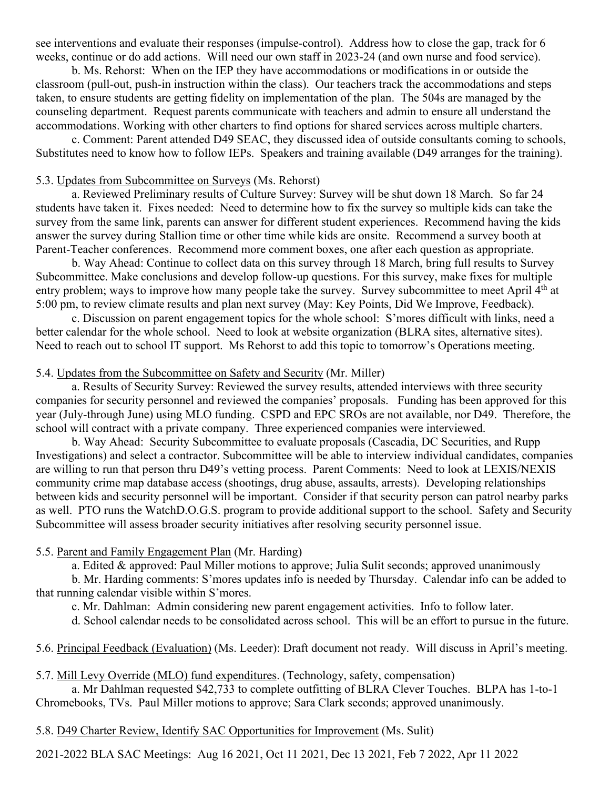see interventions and evaluate their responses (impulse-control). Address how to close the gap, track for 6 weeks, continue or do add actions. Will need our own staff in 2023-24 (and own nurse and food service).

b. Ms. Rehorst: When on the IEP they have accommodations or modifications in or outside the classroom (pull-out, push-in instruction within the class). Our teachers track the accommodations and steps taken, to ensure students are getting fidelity on implementation of the plan. The 504s are managed by the counseling department. Request parents communicate with teachers and admin to ensure all understand the accommodations. Working with other charters to find options for shared services across multiple charters.

c. Comment: Parent attended D49 SEAC, they discussed idea of outside consultants coming to schools, Substitutes need to know how to follow IEPs. Speakers and training available (D49 arranges for the training).

## 5.3. Updates from Subcommittee on Surveys (Ms. Rehorst)

a. Reviewed Preliminary results of Culture Survey: Survey will be shut down 18 March. So far 24 students have taken it. Fixes needed: Need to determine how to fix the survey so multiple kids can take the survey from the same link, parents can answer for different student experiences. Recommend having the kids answer the survey during Stallion time or other time while kids are onsite. Recommend a survey booth at Parent-Teacher conferences. Recommend more comment boxes, one after each question as appropriate.

b. Way Ahead: Continue to collect data on this survey through 18 March, bring full results to Survey Subcommittee. Make conclusions and develop follow-up questions. For this survey, make fixes for multiple entry problem; ways to improve how many people take the survey. Survey subcommittee to meet April 4<sup>th</sup> at 5:00 pm, to review climate results and plan next survey (May: Key Points, Did We Improve, Feedback).

c. Discussion on parent engagement topics for the whole school: S'mores difficult with links, need a better calendar for the whole school. Need to look at website organization (BLRA sites, alternative sites). Need to reach out to school IT support. Ms Rehorst to add this topic to tomorrow's Operations meeting.

### 5.4. Updates from the Subcommittee on Safety and Security (Mr. Miller)

a. Results of Security Survey: Reviewed the survey results, attended interviews with three security companies for security personnel and reviewed the companies' proposals. Funding has been approved for this year (July-through June) using MLO funding. CSPD and EPC SROs are not available, nor D49. Therefore, the school will contract with a private company. Three experienced companies were interviewed.

b. Way Ahead: Security Subcommittee to evaluate proposals (Cascadia, DC Securities, and Rupp Investigations) and select a contractor. Subcommittee will be able to interview individual candidates, companies are willing to run that person thru D49's vetting process. Parent Comments: Need to look at LEXIS/NEXIS community crime map database access (shootings, drug abuse, assaults, arrests). Developing relationships between kids and security personnel will be important. Consider if that security person can patrol nearby parks as well. PTO runs the WatchD.O.G.S. program to provide additional support to the school. Safety and Security Subcommittee will assess broader security initiatives after resolving security personnel issue.

#### 5.5. Parent and Family Engagement Plan (Mr. Harding)

a. Edited & approved: Paul Miller motions to approve; Julia Sulit seconds; approved unanimously

b. Mr. Harding comments: S'mores updates info is needed by Thursday. Calendar info can be added to that running calendar visible within S'mores.

c. Mr. Dahlman: Admin considering new parent engagement activities. Info to follow later.

d. School calendar needs to be consolidated across school. This will be an effort to pursue in the future.

## 5.6. Principal Feedback (Evaluation) (Ms. Leeder): Draft document not ready. Will discuss in April's meeting.

#### 5.7. Mill Levy Override (MLO) fund expenditures. (Technology, safety, compensation)

a. Mr Dahlman requested \$42,733 to complete outfitting of BLRA Clever Touches. BLPA has 1-to-1 Chromebooks, TVs. Paul Miller motions to approve; Sara Clark seconds; approved unanimously.

### 5.8. D49 Charter Review, Identify SAC Opportunities for Improvement (Ms. Sulit)

2021-2022 BLA SAC Meetings: Aug 16 2021, Oct 11 2021, Dec 13 2021, Feb 7 2022, Apr 11 2022